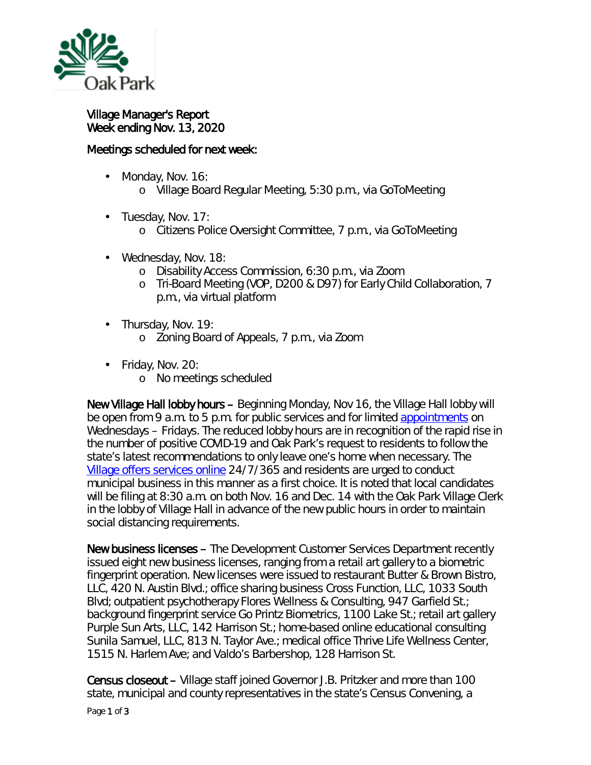

Village Manager's Report Week ending Nov. 13, 2020

## Meetings scheduled for next week:

- Monday, Nov. 16: ¥,
	- o Village Board Regular Meeting, 5:30 p.m., via GoToMeeting
- . Tuesday, Nov. 17:
	- o Citizens Police Oversight Committee, 7 p.m., via GoToMeeting
- Wednesday, Nov. 18:
	- o Disability Access Commission, 6:30 p.m., via Zoom
	- o Tri-Board Meeting (VOP, D200 & D97) for Early Child Collaboration, 7 p.m., via virtual platform
- . Thursday, Nov. 19:
	- o Zoning Board of Appeals, 7 p.m., via Zoom
- Friday, Nov. 20:
	- o No meetings scheduled

New Village Hall lobby hours – Beginning Monday, Nov 16, the Village Hall lobby will be open from 9 a.m. to 5 p.m. for public services and for limited [appointments](https://www.oak-park.us/online-services/service-appointment-signup) on Wednesdays – Fridays. The reduced lobby hours are in recognition of the rapid rise in the number of positive COVID-19 and Oak Park's request to residents to follow the [state's latest recommendations](http://dph.illinois.gov/news/public-health-officials-announce-12657-new-cases-coronavirus-disease) to only leave one's home when necessary. The [Village offers services](https://www.oak-park.us/online-services-commerce) online 24/7/365 and residents are urged to conduct municipal business in this manner as a first choice. It is noted that local candidates will be filing at 8:30 a.m. on both Nov. 16 and Dec. 14 with the Oak Park Village Clerk in the lobby of Village Hall in advance of the new public hours in order to maintain social distancing requirements.

New business licenses – The Development Customer Services Department recently issued eight new business licenses, ranging from a retail art gallery to a biometric fingerprint operation. New licenses were issued to restaurant Butter & Brown Bistro, LLC, 420 N. Austin Blvd.; office sharing business Cross Function, LLC, 1033 South Blvd; outpatient psychotherapy Flores Wellness & Consulting, 947 Garfield St.; background fingerprint service Go Printz Biometrics, 1100 Lake St.; retail art gallery Purple Sun Arts, LLC, 142 Harrison St.; home-based online educational consulting Sunila Samuel, LLC, 813 N. Taylor Ave.; medical office Thrive Life Wellness Center, 1515 N. Harlem Ave; and Valdo's Barbershop, 128 Harrison St.

Census closeout – Village staff joined Governor J.B. Pritzker and more than 100 state, municipal and county representatives in the state's *Census Convening*, a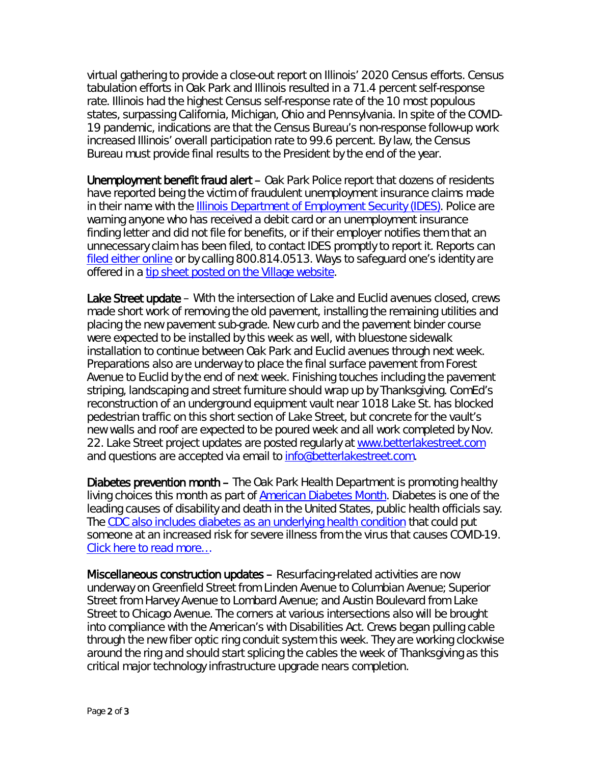virtual gathering to provide a close-out report on Illinois' 2020 Census efforts. Census tabulation efforts in Oak Park and Illinois resulted in a 71.4 percent self-response rate. Illinois had the highest Census self-response rate of the 10 most populous states, surpassing California, Michigan, Ohio and Pennsylvania. In spite of the COVID-19 pandemic, indications are that the Census Bureau's non-response follow-up work increased Illinois' overall participation rate to 99.6 percent. By law, the Census Bureau must provide final results to the President by the end of the year.

Unemployment benefit fraud alert - Oak Park Police report that dozens of residents have reported being the victim of fraudulent unemployment insurance claims made in their name with the **Illinois Department of Employment Security (IDES)**. Police are warning anyone who has received a debit card or an unemployment insurance finding letter and did not file for benefits, or if their employer notifies them that an unnecessary claim has been filed, to contact IDES promptly to report it. Reports can filed [either online](http://r20.rs6.net/tn.jsp?t=xhzoabbbb.0.0.qdcllmmab.0&id=preview&r=3&p=https%3A%2F%2Fwww2.illinois.gov%2Fides%2FPages%2FReporting_Unemployment_Insurance_Fraud.aspx) or by calling 800.814.0513. Ways to safeguard one's identity are offered in a [tip sheet posted on the Village website.](http://r20.rs6.net/tn.jsp?t=xhzoabbbb.0.0.qdcllmmab.0&id=preview&r=3&p=https%3A%2F%2Fwww.oak-park.us%2Fsites%2Fdefault%2Ffiles%2Fpolice%2Ftips%2F2020-11-05_identity_theft_prevention_tips.pdf)

Lake Street update – With the intersection of Lake and Euclid avenues closed, crews made short work of removing the old pavement, installing the remaining utilities and placing the new pavement sub-grade. New curb and the pavement binder course were expected to be installed by this week as well, with bluestone sidewalk installation to continue between Oak Park and Euclid avenues through next week. Preparations also are underway to place the final surface pavement from Forest Avenue to Euclid by the end of next week. Finishing touches including the pavement striping, landscaping and street furniture should wrap up by Thanksgiving. ComEd's reconstruction of an underground equipment vault near 1018 Lake St. has blocked pedestrian traffic on this short section of Lake Street, but concrete for the vault's new walls and roof are expected to be poured week and all work completed by Nov. 22. Lake Street project updates are posted regularly at [www.betterlakestreet.com](http://www.betterlakestreet.com/) and questions are accepted via email to [info@betterlakestreet.com.](mailto:info@betterlakestreet.com)

Diabetes prevention month – The Oak Park Health Department is promoting healthy living choices this month as part of [American Diabetes Month.](https://www.diabetes.org/community/american-diabetes-month) Diabetes is one of the leading causes of disability and death in the United States, public health officials say. The [CDC also includes diabetes as an underlying health condition](https://www.cdc.gov/coronavirus/2019-ncov/need-extra-precautions/people-with-medical-conditions.html#diabetes) that could put someone at an increased risk for severe illness from the virus that causes COVID-19. [Click here to read more…](https://www.oak-park.us/news/healthy-living-can-lower-risk-diabetes)

Miscellaneous construction updates – Resurfacing-related activities are now underway on Greenfield Street from Linden Avenue to Columbian Avenue; Superior Street from Harvey Avenue to Lombard Avenue; and Austin Boulevard from Lake Street to Chicago Avenue. The corners at various intersections also will be brought into compliance with the American's with Disabilities Act. Crews began pulling cable through the new fiber optic ring conduit system this week. They are working clockwise around the ring and should start splicing the cables the week of Thanksgiving as this critical major technology infrastructure upgrade nears completion.